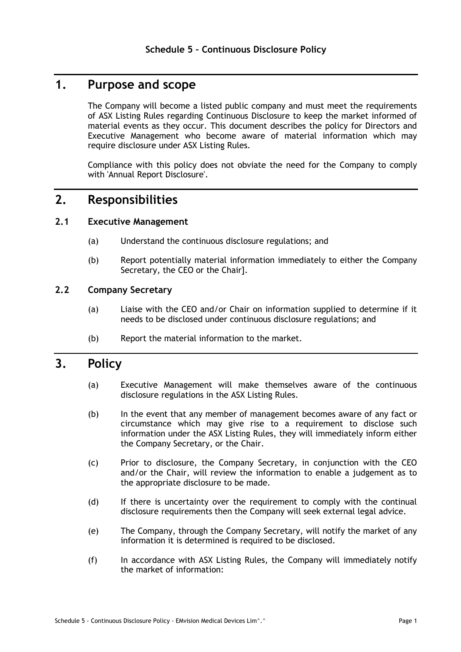# **1. Purpose and scope**

The Company will become a listed public company and must meet the requirements of ASX Listing Rules regarding Continuous Disclosure to keep the market informed of material events as they occur. This document describes the policy for Directors and Executive Management who become aware of material information which may require disclosure under ASX Listing Rules.

Compliance with this policy does not obviate the need for the Company to comply with 'Annual Report Disclosure'.

# **2. Responsibilities**

#### **2.1 Executive Management**

- (a) Understand the continuous disclosure regulations; and
- (b) Report potentially material information immediately to either the Company Secretary, the CEO or the Chair].

## **2.2 Company Secretary**

- (a) Liaise with the CEO and/or Chair on information supplied to determine if it needs to be disclosed under continuous disclosure regulations; and
- (b) Report the material information to the market.

# **3. Policy**

- (a) Executive Management will make themselves aware of the continuous disclosure regulations in the ASX Listing Rules.
- (b) In the event that any member of management becomes aware of any fact or circumstance which may give rise to a requirement to disclose such information under the ASX Listing Rules, they will immediately inform either the Company Secretary, or the Chair.
- (c) Prior to disclosure, the Company Secretary, in conjunction with the CEO and/or the Chair, will review the information to enable a judgement as to the appropriate disclosure to be made.
- (d) If there is uncertainty over the requirement to comply with the continual disclosure requirements then the Company will seek external legal advice.
- (e) The Company, through the Company Secretary, will notify the market of any information it is determined is required to be disclosed.
- (f) In accordance with ASX Listing Rules, the Company will immediately notify the market of information: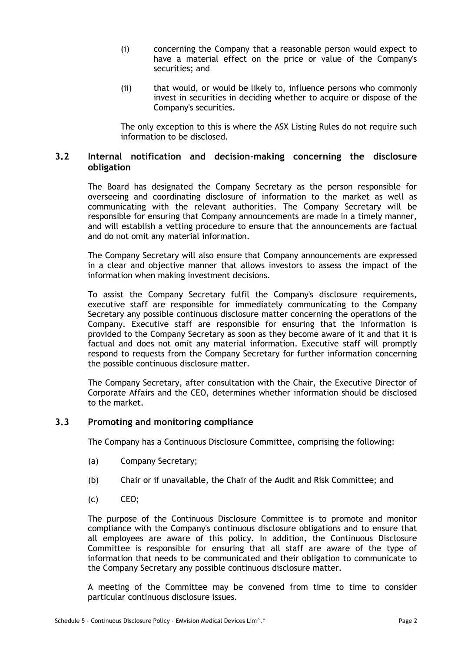- (i) concerning the Company that a reasonable person would expect to have a material effect on the price or value of the Company's securities; and
- (ii) that would, or would be likely to, influence persons who commonly invest in securities in deciding whether to acquire or dispose of the Company's securities.

The only exception to this is where the ASX Listing Rules do not require such information to be disclosed.

# **3.2 Internal notification and decision-making concerning the disclosure obligation**

The Board has designated the Company Secretary as the person responsible for overseeing and coordinating disclosure of information to the market as well as communicating with the relevant authorities. The Company Secretary will be responsible for ensuring that Company announcements are made in a timely manner, and will establish a vetting procedure to ensure that the announcements are factual and do not omit any material information.

The Company Secretary will also ensure that Company announcements are expressed in a clear and objective manner that allows investors to assess the impact of the information when making investment decisions.

To assist the Company Secretary fulfil the Company's disclosure requirements, executive staff are responsible for immediately communicating to the Company Secretary any possible continuous disclosure matter concerning the operations of the Company. Executive staff are responsible for ensuring that the information is provided to the Company Secretary as soon as they become aware of it and that it is factual and does not omit any material information. Executive staff will promptly respond to requests from the Company Secretary for further information concerning the possible continuous disclosure matter.

The Company Secretary, after consultation with the Chair, the Executive Director of Corporate Affairs and the CEO, determines whether information should be disclosed to the market.

#### **3.3 Promoting and monitoring compliance**

The Company has a Continuous Disclosure Committee, comprising the following:

- (a) Company Secretary;
- (b) Chair or if unavailable, the Chair of the Audit and Risk Committee; and
- (c) CEO;

The purpose of the Continuous Disclosure Committee is to promote and monitor compliance with the Company's continuous disclosure obligations and to ensure that all employees are aware of this policy. In addition, the Continuous Disclosure Committee is responsible for ensuring that all staff are aware of the type of information that needs to be communicated and their obligation to communicate to the Company Secretary any possible continuous disclosure matter.

A meeting of the Committee may be convened from time to time to consider particular continuous disclosure issues.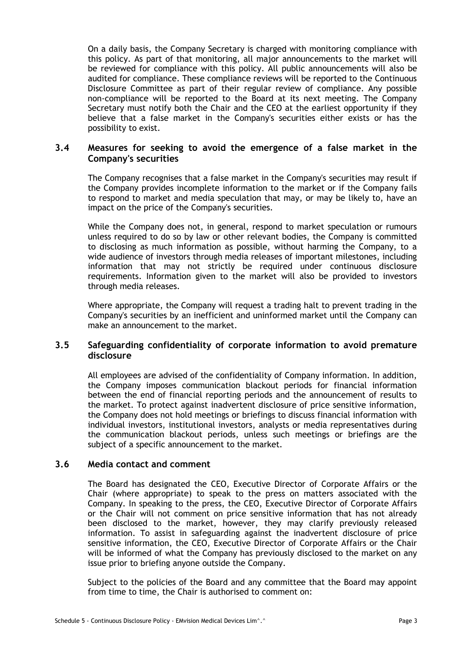On a daily basis, the Company Secretary is charged with monitoring compliance with this policy. As part of that monitoring, all major announcements to the market will be reviewed for compliance with this policy. All public announcements will also be audited for compliance. These compliance reviews will be reported to the Continuous Disclosure Committee as part of their regular review of compliance. Any possible non-compliance will be reported to the Board at its next meeting. The Company Secretary must notify both the Chair and the CEO at the earliest opportunity if they believe that a false market in the Company's securities either exists or has the possibility to exist.

### **3.4 Measures for seeking to avoid the emergence of a false market in the Company's securities**

The Company recognises that a false market in the Company's securities may result if the Company provides incomplete information to the market or if the Company fails to respond to market and media speculation that may, or may be likely to, have an impact on the price of the Company's securities.

While the Company does not, in general, respond to market speculation or rumours unless required to do so by law or other relevant bodies, the Company is committed to disclosing as much information as possible, without harming the Company, to a wide audience of investors through media releases of important milestones, including information that may not strictly be required under continuous disclosure requirements. Information given to the market will also be provided to investors through media releases.

Where appropriate, the Company will request a trading halt to prevent trading in the Company's securities by an inefficient and uninformed market until the Company can make an announcement to the market.

# **3.5 Safeguarding confidentiality of corporate information to avoid premature disclosure**

All employees are advised of the confidentiality of Company information. In addition, the Company imposes communication blackout periods for financial information between the end of financial reporting periods and the announcement of results to the market. To protect against inadvertent disclosure of price sensitive information, the Company does not hold meetings or briefings to discuss financial information with individual investors, institutional investors, analysts or media representatives during the communication blackout periods, unless such meetings or briefings are the subject of a specific announcement to the market.

#### **3.6 Media contact and comment**

The Board has designated the CEO, Executive Director of Corporate Affairs or the Chair (where appropriate) to speak to the press on matters associated with the Company. In speaking to the press, the CEO, Executive Director of Corporate Affairs or the Chair will not comment on price sensitive information that has not already been disclosed to the market, however, they may clarify previously released information. To assist in safeguarding against the inadvertent disclosure of price sensitive information, the CEO, Executive Director of Corporate Affairs or the Chair will be informed of what the Company has previously disclosed to the market on any issue prior to briefing anyone outside the Company.

Subject to the policies of the Board and any committee that the Board may appoint from time to time, the Chair is authorised to comment on: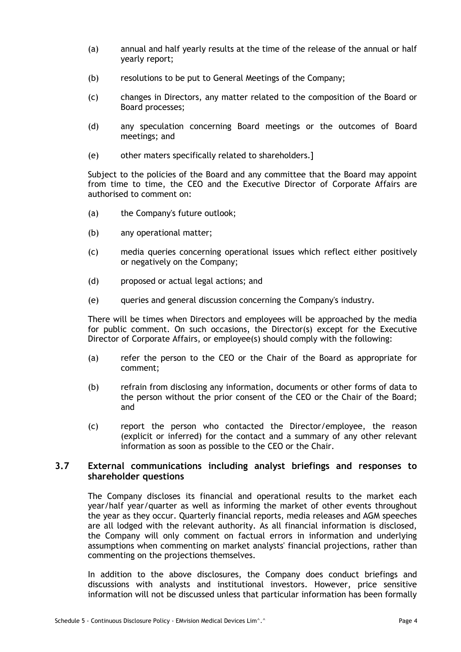- (a) annual and half yearly results at the time of the release of the annual or half yearly report;
- (b) resolutions to be put to General Meetings of the Company;
- (c) changes in Directors, any matter related to the composition of the Board or Board processes;
- (d) any speculation concerning Board meetings or the outcomes of Board meetings; and
- (e) other maters specifically related to shareholders.]

Subject to the policies of the Board and any committee that the Board may appoint from time to time, the CEO and the Executive Director of Corporate Affairs are authorised to comment on:

- (a) the Company's future outlook;
- (b) any operational matter;
- (c) media queries concerning operational issues which reflect either positively or negatively on the Company;
- (d) proposed or actual legal actions; and
- (e) queries and general discussion concerning the Company's industry.

There will be times when Directors and employees will be approached by the media for public comment. On such occasions, the Director(s) except for the Executive Director of Corporate Affairs, or employee(s) should comply with the following:

- (a) refer the person to the CEO or the Chair of the Board as appropriate for comment;
- (b) refrain from disclosing any information, documents or other forms of data to the person without the prior consent of the CEO or the Chair of the Board; and
- (c) report the person who contacted the Director/employee, the reason (explicit or inferred) for the contact and a summary of any other relevant information as soon as possible to the CEO or the Chair.

## **3.7 External communications including analyst briefings and responses to shareholder questions**

The Company discloses its financial and operational results to the market each year/half year/quarter as well as informing the market of other events throughout the year as they occur. Quarterly financial reports, media releases and AGM speeches are all lodged with the relevant authority. As all financial information is disclosed, the Company will only comment on factual errors in information and underlying assumptions when commenting on market analysts' financial projections, rather than commenting on the projections themselves.

In addition to the above disclosures, the Company does conduct briefings and discussions with analysts and institutional investors. However, price sensitive information will not be discussed unless that particular information has been formally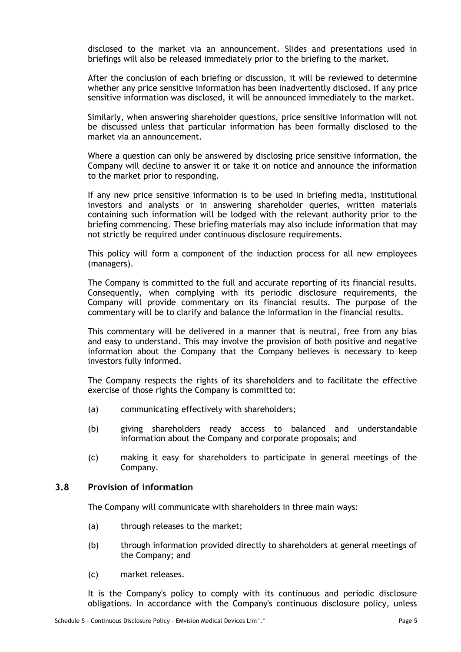disclosed to the market via an announcement. Slides and presentations used in briefings will also be released immediately prior to the briefing to the market.

After the conclusion of each briefing or discussion, it will be reviewed to determine whether any price sensitive information has been inadvertently disclosed. If any price sensitive information was disclosed, it will be announced immediately to the market.

Similarly, when answering shareholder questions, price sensitive information will not be discussed unless that particular information has been formally disclosed to the market via an announcement.

Where a question can only be answered by disclosing price sensitive information, the Company will decline to answer it or take it on notice and announce the information to the market prior to responding.

If any new price sensitive information is to be used in briefing media, institutional investors and analysts or in answering shareholder queries, written materials containing such information will be lodged with the relevant authority prior to the briefing commencing. These briefing materials may also include information that may not strictly be required under continuous disclosure requirements.

This policy will form a component of the induction process for all new employees (managers).

The Company is committed to the full and accurate reporting of its financial results. Consequently, when complying with its periodic disclosure requirements, the Company will provide commentary on its financial results. The purpose of the commentary will be to clarify and balance the information in the financial results.

This commentary will be delivered in a manner that is neutral, free from any bias and easy to understand. This may involve the provision of both positive and negative information about the Company that the Company believes is necessary to keep investors fully informed.

The Company respects the rights of its shareholders and to facilitate the effective exercise of those rights the Company is committed to:

- (a) communicating effectively with shareholders;
- (b) giving shareholders ready access to balanced and understandable information about the Company and corporate proposals; and
- (c) making it easy for shareholders to participate in general meetings of the Company.

#### **3.8 Provision of information**

The Company will communicate with shareholders in three main ways:

- (a) through releases to the market;
- (b) through information provided directly to shareholders at general meetings of the Company; and
- (c) market releases.

It is the Company's policy to comply with its continuous and periodic disclosure obligations. In accordance with the Company's continuous disclosure policy, unless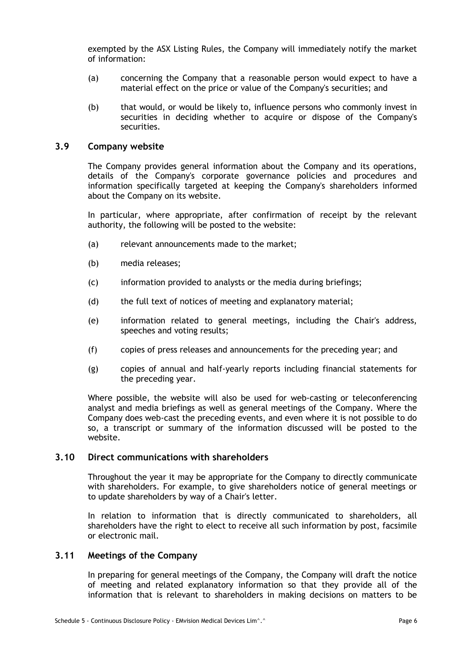exempted by the ASX Listing Rules, the Company will immediately notify the market of information:

- (a) concerning the Company that a reasonable person would expect to have a material effect on the price or value of the Company's securities; and
- (b) that would, or would be likely to, influence persons who commonly invest in securities in deciding whether to acquire or dispose of the Company's securities.

#### **3.9 Company website**

The Company provides general information about the Company and its operations, details of the Company's corporate governance policies and procedures and information specifically targeted at keeping the Company's shareholders informed about the Company on its website.

In particular, where appropriate, after confirmation of receipt by the relevant authority, the following will be posted to the website:

- (a) relevant announcements made to the market;
- (b) media releases;
- (c) information provided to analysts or the media during briefings;
- (d) the full text of notices of meeting and explanatory material;
- (e) information related to general meetings, including the Chair's address, speeches and voting results;
- (f) copies of press releases and announcements for the preceding year; and
- (g) copies of annual and half-yearly reports including financial statements for the preceding year.

Where possible, the website will also be used for web-casting or teleconferencing analyst and media briefings as well as general meetings of the Company. Where the Company does web-cast the preceding events, and even where it is not possible to do so, a transcript or summary of the information discussed will be posted to the website.

#### **3.10 Direct communications with shareholders**

Throughout the year it may be appropriate for the Company to directly communicate with shareholders. For example, to give shareholders notice of general meetings or to update shareholders by way of a Chair's letter.

In relation to information that is directly communicated to shareholders, all shareholders have the right to elect to receive all such information by post, facsimile or electronic mail.

# **3.11 Meetings of the Company**

In preparing for general meetings of the Company, the Company will draft the notice of meeting and related explanatory information so that they provide all of the information that is relevant to shareholders in making decisions on matters to be